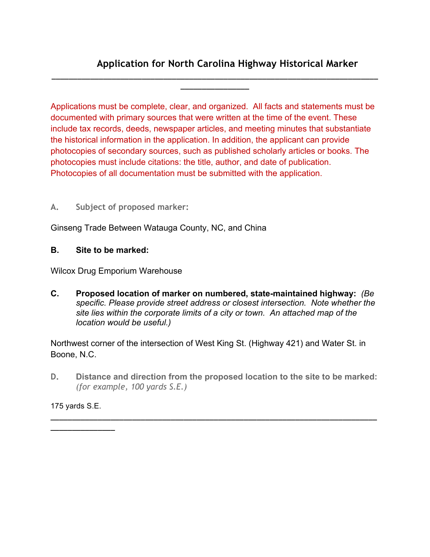# **Application for North Carolina Highway Historical Marker**

Applications must be complete, clear, and organized. All facts and statements must be documented with primary sources that were written at the time of the event. These include tax records, deeds, newspaper articles, and meeting minutes that substantiate the historical information in the application. In addition, the applicant can provide photocopies of secondary sources, such as published scholarly articles or books. The photocopies must include citations: the title, author, and date of publication. Photocopies of all documentation must be submitted with the application.

**\_\_\_\_\_\_\_\_\_\_\_\_\_\_\_\_\_\_\_\_\_\_\_\_\_\_\_\_\_\_\_\_\_\_\_\_\_\_\_\_\_\_\_\_\_\_\_\_\_\_\_\_\_\_\_\_\_\_\_\_\_\_\_\_\_\_\_\_\_\_\_\_\_\_\_\_ \_\_\_\_\_\_\_\_\_\_\_\_\_\_\_\_**

## **A. Subject of proposed marker:**

Ginseng Trade Between Watauga County, NC, and China

## **B. Site to be marked:**

Wilcox Drug Emporium Warehouse

**C. Proposed location of marker on numbered, state-maintained highway:** *(Be specific. Please provide street address or closest intersection. Note whether the site lies within the corporate limits of a city or town. An attached map of the location would be useful.)*

Northwest corner of the intersection of West King St. (Highway 421) and Water St. in Boone, N.C.

**D. Distance and direction from the proposed location to the site to be marked:**  *(for example, 100 yards S.E.)*

**\_\_\_\_\_\_\_\_\_\_\_\_\_\_\_\_\_\_\_\_\_\_\_\_\_\_\_\_\_\_\_\_\_\_\_\_\_\_\_\_\_\_\_\_\_\_\_\_\_\_\_\_\_\_\_\_\_\_\_\_\_\_\_\_\_\_\_\_\_\_\_\_\_\_\_\_**

175 yards S.E.

**\_\_\_\_\_\_\_\_\_\_\_\_\_\_\_**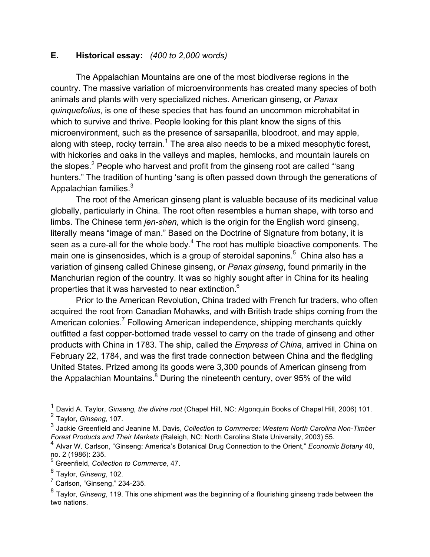## **E. Historical essay:** *(400 to 2,000 words)*

The Appalachian Mountains are one of the most biodiverse regions in the country. The massive variation of microenvironments has created many species of both animals and plants with very specialized niches. American ginseng, or *Panax quinquefolius*, is one of these species that has found an uncommon microhabitat in which to survive and thrive. People looking for this plant know the signs of this microenvironment, such as the presence of sarsaparilla, bloodroot, and may apple, along with steep, rocky terrain.<sup>1</sup> The area also needs to be a mixed mesophytic forest, with hickories and oaks in the valleys and maples, hemlocks, and mountain laurels on the slopes.<sup>2</sup> People who harvest and profit from the ginseng root are called "'sang hunters." The tradition of hunting 'sang is often passed down through the generations of Appalachian families.<sup>3</sup>

The root of the American ginseng plant is valuable because of its medicinal value globally, particularly in China. The root often resembles a human shape, with torso and limbs. The Chinese term *jen-shen*, which is the origin for the English word ginseng, literally means "image of man." Based on the Doctrine of Signature from botany, it is seen as a cure-all for the whole body.<sup>4</sup> The root has multiple bioactive components. The main one is ginsenosides, which is a group of steroidal saponins.<sup>5</sup> China also has a variation of ginseng called Chinese ginseng, or *Panax ginseng*, found primarily in the Manchurian region of the country. It was so highly sought after in China for its healing properties that it was harvested to near extinction.6

Prior to the American Revolution, China traded with French fur traders, who often acquired the root from Canadian Mohawks, and with British trade ships coming from the American colonies.<sup>7</sup> Following American independence, shipping merchants quickly outfitted a fast copper-bottomed trade vessel to carry on the trade of ginseng and other products with China in 1783. The ship, called the *Empress of China*, arrived in China on February 22, 1784, and was the first trade connection between China and the fledgling United States. Prized among its goods were 3,300 pounds of American ginseng from the Appalachian Mountains. $^8$  During the nineteenth century, over 95% of the wild

 <sup>1</sup> David A. Taylor, *Ginseng, the divine root* (Chapel Hill, NC: Algonquin Books of Chapel Hill, 2006) 101. <sup>2</sup> Taylor, *Ginseng*, 107.

<sup>3</sup> Jackie Greenfield and Jeanine M. Davis, *Collection to Commerce: Western North Carolina Non-Timber Forest Products and Their Markets* (Raleigh, NC: North Carolina State University, 2003) 55.

<sup>4</sup> Alvar W. Carlson, "Ginseng: America's Botanical Drug Connection to the Orient," *Economic Botany* 40, no. 2 (1986): 235.

<sup>5</sup> Greenfield, *Collection to Commerce*, 47.

<sup>6</sup> Taylor, *Ginseng*, 102.

 $<sup>7</sup>$  Carlson, "Ginseng," 234-235.</sup>

<sup>8</sup> Taylor, *Ginseng*, 119. This one shipment was the beginning of a flourishing ginseng trade between the two nations.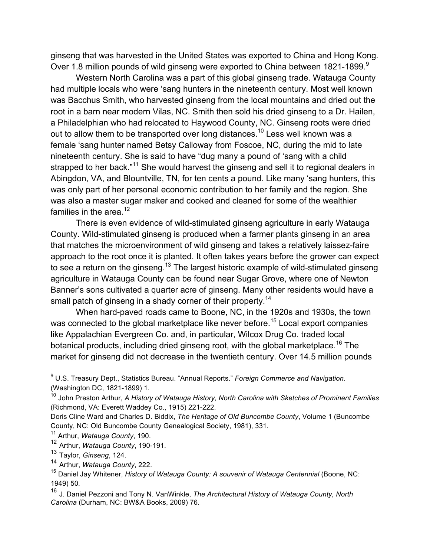ginseng that was harvested in the United States was exported to China and Hong Kong. Over 1.8 million pounds of wild ginseng were exported to China between 1821-1899.<sup>9</sup>

Western North Carolina was a part of this global ginseng trade. Watauga County had multiple locals who were 'sang hunters in the nineteenth century. Most well known was Bacchus Smith, who harvested ginseng from the local mountains and dried out the root in a barn near modern Vilas, NC. Smith then sold his dried ginseng to a Dr. Hailen, a Philadelphian who had relocated to Haywood County, NC. Ginseng roots were dried out to allow them to be transported over long distances.<sup>10</sup> Less well known was a female 'sang hunter named Betsy Calloway from Foscoe, NC, during the mid to late nineteenth century. She is said to have "dug many a pound of 'sang with a child strapped to her back."<sup>11</sup> She would harvest the ginseng and sell it to regional dealers in Abingdon, VA, and Blountville, TN, for ten cents a pound. Like many 'sang hunters, this was only part of her personal economic contribution to her family and the region. She was also a master sugar maker and cooked and cleaned for some of the wealthier families in the area.<sup>12</sup>

There is even evidence of wild-stimulated ginseng agriculture in early Watauga County. Wild-stimulated ginseng is produced when a farmer plants ginseng in an area that matches the microenvironment of wild ginseng and takes a relatively laissez-faire approach to the root once it is planted. It often takes years before the grower can expect to see a return on the ginseng.<sup>13</sup> The largest historic example of wild-stimulated ginseng agriculture in Watauga County can be found near Sugar Grove, where one of Newton Banner's sons cultivated a quarter acre of ginseng. Many other residents would have a small patch of ginseng in a shady corner of their property.<sup>14</sup>

When hard-paved roads came to Boone, NC, in the 1920s and 1930s, the town was connected to the global marketplace like never before.<sup>15</sup> Local export companies like Appalachian Evergreen Co. and, in particular, Wilcox Drug Co. traded local botanical products, including dried ginseng root, with the global marketplace.<sup>16</sup> The market for ginseng did not decrease in the twentieth century. Over 14.5 million pounds

<sup>।&</sup>lt;br>9 U.S. Treasury Dept., Statistics Bureau. "Annual Reports." *Foreign Commerce and Navigation*. (Washington DC, 1821-1899) 1.

<sup>10</sup> John Preston Arthur, *A History of Watauga History, North Carolina with Sketches of Prominent Families* (Richmond, VA: Everett Waddey Co., 1915) 221-222.

Doris Cline Ward and Charles D. Biddix, *The Heritage of Old Buncombe County*, Volume 1 (Buncombe County, NC: Old Buncombe County Genealogical Society, 1981), 331.

<sup>11</sup> Arthur, *Watauga County*, 190.

<sup>12</sup> Arthur, *Watauga County*, 190-191.

<sup>13</sup> Taylor, *Ginseng*, 124.

<sup>14</sup> Arthur, *Watauga County*, 222.

<sup>15</sup> Daniel Jay Whitener, *History of Watauga County: A souvenir of Watauga Centennial* (Boone, NC: 1949) 50*.*

<sup>16</sup> J. Daniel Pezzoni and Tony N. VanWinkle, *The Architectural History of Watauga County, North Carolina* (Durham, NC: BW&A Books, 2009) 76.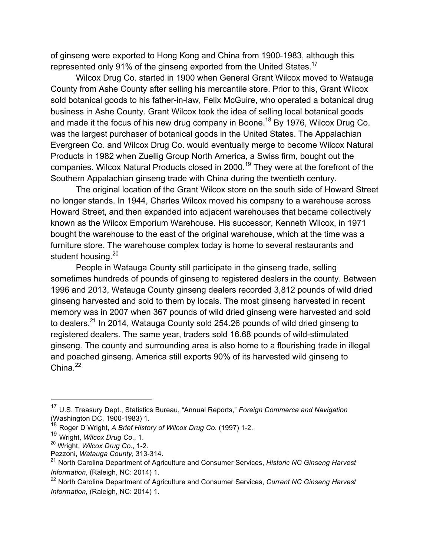of ginseng were exported to Hong Kong and China from 1900-1983, although this represented only 91% of the ginseng exported from the United States.<sup>17</sup>

Wilcox Drug Co. started in 1900 when General Grant Wilcox moved to Watauga County from Ashe County after selling his mercantile store. Prior to this, Grant Wilcox sold botanical goods to his father-in-law, Felix McGuire, who operated a botanical drug business in Ashe County. Grant Wilcox took the idea of selling local botanical goods and made it the focus of his new drug company in Boone.<sup>18</sup> By 1976, Wilcox Drug Co. was the largest purchaser of botanical goods in the United States. The Appalachian Evergreen Co. and Wilcox Drug Co. would eventually merge to become Wilcox Natural Products in 1982 when Zuellig Group North America, a Swiss firm, bought out the companies. Wilcox Natural Products closed in 2000.<sup>19</sup> They were at the forefront of the Southern Appalachian ginseng trade with China during the twentieth century.

The original location of the Grant Wilcox store on the south side of Howard Street no longer stands. In 1944, Charles Wilcox moved his company to a warehouse across Howard Street, and then expanded into adjacent warehouses that became collectively known as the Wilcox Emporium Warehouse. His successor, Kenneth Wilcox, in 1971 bought the warehouse to the east of the original warehouse, which at the time was a furniture store. The warehouse complex today is home to several restaurants and student housing.<sup>20</sup>

People in Watauga County still participate in the ginseng trade, selling sometimes hundreds of pounds of ginseng to registered dealers in the county. Between 1996 and 2013, Watauga County ginseng dealers recorded 3,812 pounds of wild dried ginseng harvested and sold to them by locals. The most ginseng harvested in recent memory was in 2007 when 367 pounds of wild dried ginseng were harvested and sold to dealers.<sup>21</sup> In 2014, Watauga County sold 254.26 pounds of wild dried ginseng to registered dealers. The same year, traders sold 16.68 pounds of wild-stimulated ginseng. The county and surrounding area is also home to a flourishing trade in illegal and poached ginseng. America still exports 90% of its harvested wild ginseng to China $22$ 

 <sup>17</sup> U.S. Treasury Dept., Statistics Bureau, "Annual Reports," *Foreign Commerce and Navigation* (Washington DC, 1900-1983) 1.<br><sup>18</sup> Dessin William DC, 1900-1983) 1.

<sup>18</sup> Roger D Wright, *A Brief History of Wilcox Drug Co*. (1997) 1-2.

<sup>19</sup> Wright, *Wilcox Drug Co*., 1.

<sup>20</sup> Wright, *Wilcox Drug Co*., 1-2.

Pezzoni, *Watauga County*, 313-314.

<sup>21</sup> North Carolina Department of Agriculture and Consumer Services, *Historic NC Ginseng Harvest Information*, (Raleigh, NC: 2014) 1.

<sup>22</sup> North Carolina Department of Agriculture and Consumer Services, *Current NC Ginseng Harvest Information*, (Raleigh, NC: 2014) 1.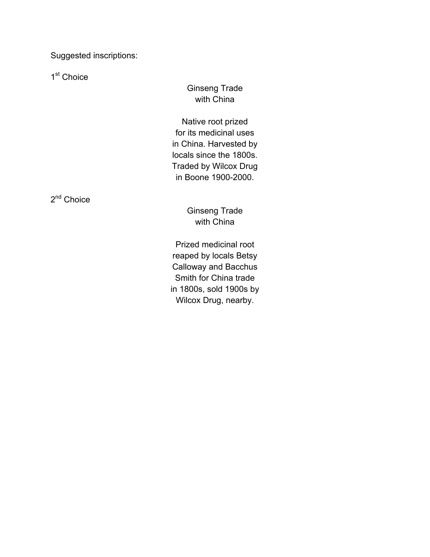Suggested inscriptions:

1<sup>st</sup> Choice

Ginseng Trade with China

Native root prized for its medicinal uses in China. Harvested by locals since the 1800s. Traded by Wilcox Drug in Boone 1900-2000.

2<sup>nd</sup> Choice

Ginseng Trade with China

Prized medicinal root reaped by locals Betsy Calloway and Bacchus Smith for China trade in 1800s, sold 1900s by Wilcox Drug, nearby.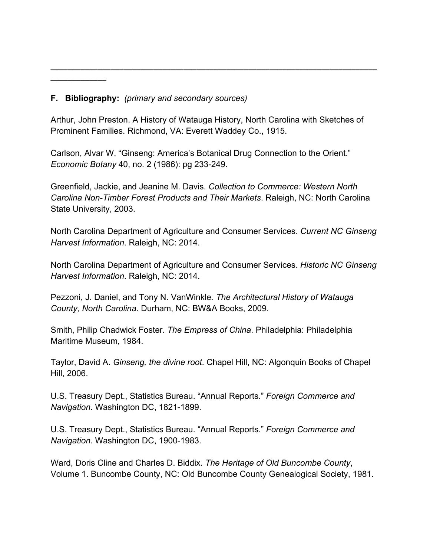## **F. Bibliography:** *(primary and secondary sources)*

**\_\_\_\_\_\_\_\_\_\_\_\_\_**

Arthur, John Preston. A History of Watauga History, North Carolina with Sketches of Prominent Families. Richmond, VA: Everett Waddey Co., 1915.

**\_\_\_\_\_\_\_\_\_\_\_\_\_\_\_\_\_\_\_\_\_\_\_\_\_\_\_\_\_\_\_\_\_\_\_\_\_\_\_\_\_\_\_\_\_\_\_\_\_\_\_\_\_\_\_\_\_\_\_\_\_\_\_\_\_\_\_\_\_\_\_\_\_\_\_\_**

Carlson, Alvar W. "Ginseng: America's Botanical Drug Connection to the Orient." *Economic Botany* 40, no. 2 (1986): pg 233-249.

Greenfield, Jackie, and Jeanine M. Davis. *Collection to Commerce: Western North Carolina Non-Timber Forest Products and Their Markets*. Raleigh, NC: North Carolina State University, 2003.

North Carolina Department of Agriculture and Consumer Services. *Current NC Ginseng Harvest Information*. Raleigh, NC: 2014.

North Carolina Department of Agriculture and Consumer Services. *Historic NC Ginseng Harvest Information*. Raleigh, NC: 2014.

Pezzoni, J. Daniel, and Tony N. VanWinkle*. The Architectural History of Watauga County, North Carolina*. Durham, NC: BW&A Books, 2009.

Smith, Philip Chadwick Foster. *The Empress of China*. Philadelphia: Philadelphia Maritime Museum, 1984.

Taylor, David A. *Ginseng, the divine root*. Chapel Hill, NC: Algonquin Books of Chapel Hill, 2006.

U.S. Treasury Dept., Statistics Bureau. "Annual Reports." *Foreign Commerce and Navigation*. Washington DC, 1821-1899.

U.S. Treasury Dept., Statistics Bureau. "Annual Reports." *Foreign Commerce and Navigation*. Washington DC, 1900-1983.

Ward, Doris Cline and Charles D. Biddix. *The Heritage of Old Buncombe County*, Volume 1. Buncombe County, NC: Old Buncombe County Genealogical Society, 1981.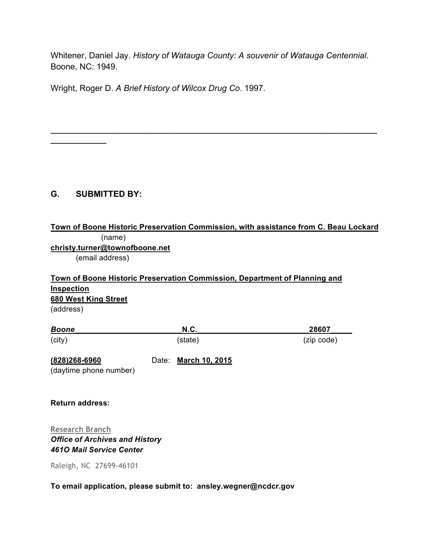Whitener, Daniel Jay. *History of Watauga County: A souvenir of Watauga Centennial*. Boone, NC: 1949.

**\_\_\_\_\_\_\_\_\_\_\_\_\_\_\_\_\_\_\_\_\_\_\_\_\_\_\_\_\_\_\_\_\_\_\_\_\_\_\_\_\_\_\_\_\_\_\_\_\_\_\_\_\_\_\_\_\_\_\_\_\_\_\_\_\_\_\_\_\_\_\_\_\_\_\_\_**

Wright, Roger D. *A Brief History of Wilcox Drug Co*. 1997.

## **G. SUBMITTED BY:**

**\_\_\_\_\_\_\_\_\_\_\_\_\_**

# **Town of Boone Historic Preservation Commission, with assistance from C. Beau Lockard** (name)

**christy.turner@townofboone.net**

(email address)

**Town of Boone Historic Preservation Commission, Department of Planning and Inspection 680 West King Street** (address)

| <b>Boone</b> | N.C.    | 28607      |
|--------------|---------|------------|
| (city)       | (state) | (zip code) |

**(828)268-6960** Date: **March 10, 2015**

(daytime phone number)

**Return address:**

**Research Branch** *Office of Archives and History 461O Mail Service Center*

Raleigh, NC 27699-46101

#### **To email application, please submit to: ansley.wegner@ncdcr.gov**